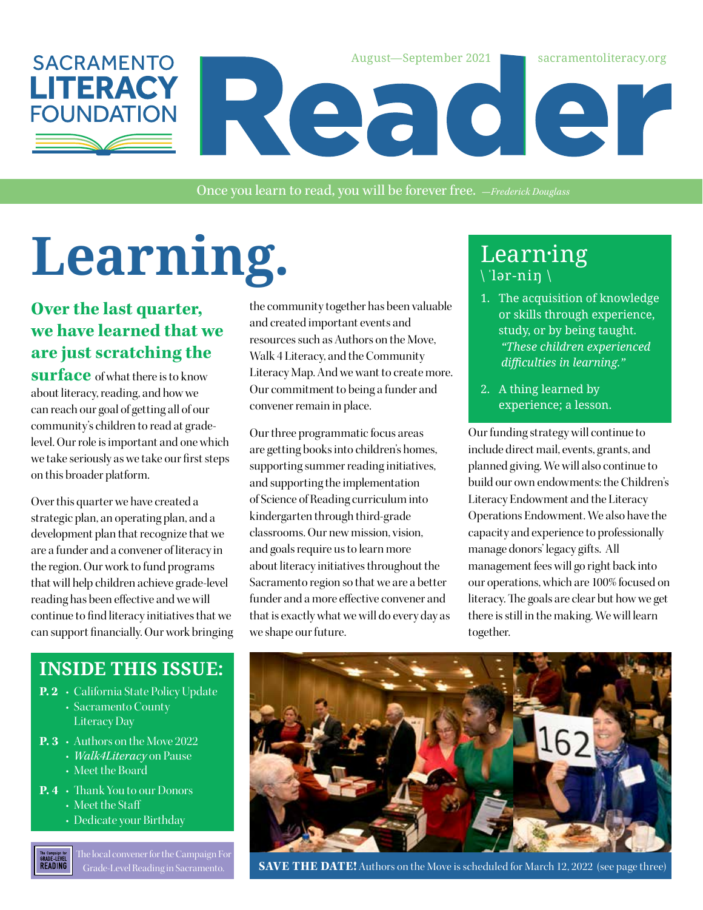

Once you learn to read, you will be forever free. *—Frederick Douglass*

# Learning. Learning

#### **Over the last quarter, we have learned that we are just scratching the**

**surface** of what there is to know about literacy, reading, and how we can reach our goal of getting all of our community's children to read at gradelevel. Our role is important and one which we take seriously as we take our first steps on this broader platform.

Over this quarter we have created a strategic plan, an operating plan, and a development plan that recognize that we are a funder and a convener of literacy in the region. Our work to fund programs that will help children achieve grade-level reading has been effective and we will continue to find literacy initiatives that we can support financially. Our work bringing

the community together has been valuable and created important events and resources such as Authors on the Move, Walk 4 Literacy, and the Community Literacy Map. And we want to create more. Our commitment to being a funder and convener remain in place.

Our three programmatic focus areas are getting books into children's homes, supporting summer reading initiatives, and supporting the implementation of Science of Reading curriculum into kindergarten through third-grade classrooms. Our new mission, vision, and goals require us to learn more about literacy initiatives throughout the Sacramento region so that we are a better funder and a more effective convener and that is exactly what we will do every day as we shape our future.

## \ ˈlər-niŋ \

- 1. The acquisition of knowledge or skills through experience, study, or by being taught. *"These children experienced difficulties in learning."*
- 2. A thing learned by experience; a lesson.

Our funding strategy will continue to include direct mail, events, grants, and planned giving. We will also continue to build our own endowments: the Children's Literacy Endowment and the Literacy Operations Endowment. We also have the capacity and experience to professionally manage donors' legacy gifts. All management fees will go right back into our operations, which are 100% focused on literacy. The goals are clear but how we get there is still in the making. We will learn together.

#### **INSIDE THIS ISSUE:**

- **P. 2** California State Policy Update
	- Sacramento County Literacy Day
- **P. 3** Authors on the Move 2022
	- *Walk4Literacy* on Pause
	- Meet the Board
- **P. 4** Thank You to our Donors
	- Meet the Staff
	- Dedicate your Birthday

The local convener for the Campaign For The Campaign for<br>GRADE-LEVEL<br>READING



Grade-Level Reading in Sacramento. **SAVE THE DATE!** Authors on the Move is scheduled for March 12, 2022 (see page three)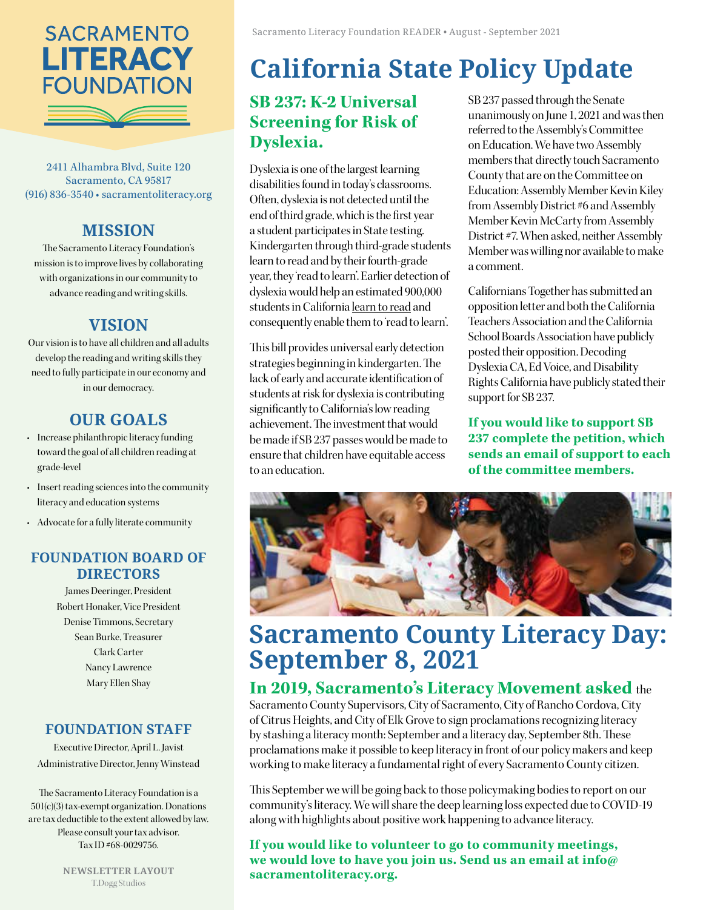

2411 Alhambra Blvd, Suite 120 Sacramento, CA 95817 (916) 836-3540 • [sacramentoliteracy.org](http://www.sacramentoliteracy.org)

#### **MISSION**

The Sacramento Literacy Foundation's mission is to improve lives by collaborating with organizations in our community to advance reading and writing skills.

#### **VISION**

Our vision is to have all children and all adults develop the reading and writing skills they need to fully participate in our economy and in our democracy.

#### **OUR GOALS**

- Increase philanthropic literacy funding toward the goal of all children reading at grade-level
- Insert reading sciences into the community literacy and education systems
- Advocate for a fully literate community

#### **FOUNDATION BOARD OF DIRECTORS**

James Deeringer, President Robert Honaker, Vice President Denise Timmons, Secretary Sean Burke, Treasurer Clark Carter Nancy Lawrence Mary Ellen Shay

#### **FOUNDATION STAFF**

Executive Director, April L. Javist Administrative Director, Jenny Winstead

The Sacramento Literacy Foundation is a 501(c)(3) tax-exempt organization. Donations are tax deductible to the extent allowed by law. Please consult your tax advisor. Tax ID #68-0029756.

> **NEWSLETTER LAYOUT** T.Dogg Studios

## **California State Policy Update**

#### **SB 237: K-2 Universal Screening for Risk of Dyslexia.**

Dyslexia is one of the largest learning disabilities found in today's classrooms. Often, dyslexia is not detected until the end of third grade, which is the first year a student participates in State testing. Kindergarten through third-grade students learn to read and by their fourth-grade year, they 'read to learn'. Earlier detection of dyslexia would help an estimated 900,000 students in California learn to read and consequently enable them to 'read to learn'.

This bill provides universal early detection strategies beginning in kindergarten. The lack of early and accurate identification of students at risk for dyslexia is contributing significantly to California's low reading achievement. The investment that would be made if SB 237 passes would be made to ensure that children have equitable access to an education.

[SB 237](https://leginfo.legislature.ca.gov/faces/billTextClient.xhtml?bill_id=202120220SB237) passed through the Senate unanimously on June 1, 2021 and was then referred to the [Assembly's Committee](https://aedn.assembly.ca.gov/membersstaff)  [on Education](https://aedn.assembly.ca.gov/membersstaff). We have two Assembly members that directly touch Sacramento County that are on the Committee on Education: Assembly Member Kevin Kiley from Assembly District #6 and Assembly Member Kevin McCarty from Assembly District #7. When asked, neither Assembly Member was willing nor available to make a comment.

Californians Together has submitted an opposition letter and both the California Teachers Association and the California School Boards Association have publicly posted their opposition. Decoding Dyslexia CA, Ed Voice, and Disability Rights California have publicly stated their support for SB 237.

**If you would like to support SB 237 [complete the petition,](https://p2a.co/QanZpHP) which sends an email of support to each of the committee members.**



### **Sacramento County Literacy Day: September 8, 2021**

#### **In 2019, Sacramento's Literacy Movement asked** the

Sacramento County Supervisors, City of Sacramento, City of Rancho Cordova, City of Citrus Heights, and City of Elk Grove to sign proclamations recognizing literacy by stashing a literacy month: September and a literacy day, September 8th. These proclamations make it possible to keep literacy in front of our policy makers and keep working to make literacy a fundamental right of every Sacramento County citizen.

This September we will be going back to those policymaking bodies to report on our community's literacy. We will share the deep learning loss expected due to COVID-19 along with highlights about positive work happening to advance literacy.

**If you would like to volunteer to go to community meetings, we would love to have you join us. Send us an email at info@ sacramentoliteracy.org.**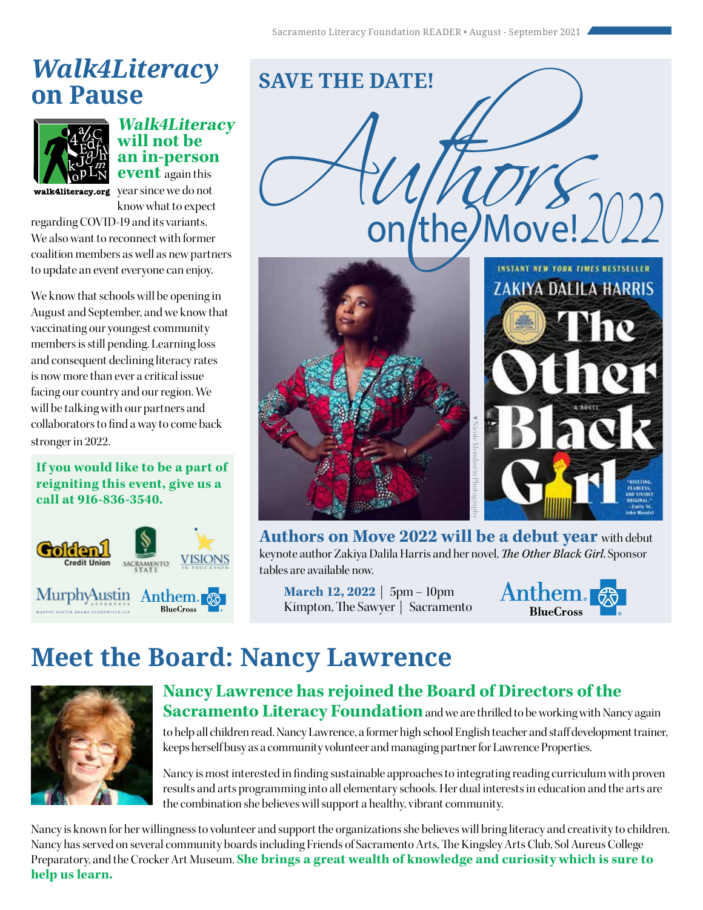## *Walk4Literacy*  **on Pause**



**Walk4Literacy will not be an in-person event** again this

walk4literacy.org year since we do not know what to expect

regarding COVID-19 and its variants. We also want to reconnect with former coalition members as well as new partners to update an event everyone can enjoy.

We know that schools will be opening in August and September, and we know that vaccinating our youngest community members is still pending. Learning loss and consequent declining literacy rates is now more than ever a critical issue facing our country and our region. We will be talking with our partners and collaborators to find a way to come back stronger in 2022.

**If you would like to be a part of reigniting this event, give us a call at 916-836-3540.** 





**Authors on Move 2022 will be a debut year** with debut keynote author Zakiya Dalila Harris and her novel, *The Other Black Girl*. Sponsor tables are available now.

**March 12, 2022** | 5pm – 10pm



## **Meet the Board: Nancy Lawrence**



#### **Nancy Lawrence has rejoined the Board of Directors of the Sacramento Literacy Foundation** and we are thrilled to be working with Nancy again

to help all children read. Nancy Lawrence, a former high school English teacher and staff development trainer, keeps herself busy as a community volunteer and managing partner for Lawrence Properties.

Nancy is most interested in finding sustainable approaches to integrating reading curriculum with proven results and arts programming into all elementary schools. Her dual interests in education and the arts are the combination she believes will support a healthy, vibrant community.

Nancy is known for her willingness to volunteer and support the organizations she believes will bring literacy and creativity to children. Nancy has served on several community boards including Friends of Sacramento Arts, The Kingsley Arts Club, Sol Aureus College Preparatory, and the Crocker Art Museum. **She brings a great wealth of knowledge and curiosity which is sure to help us learn.**